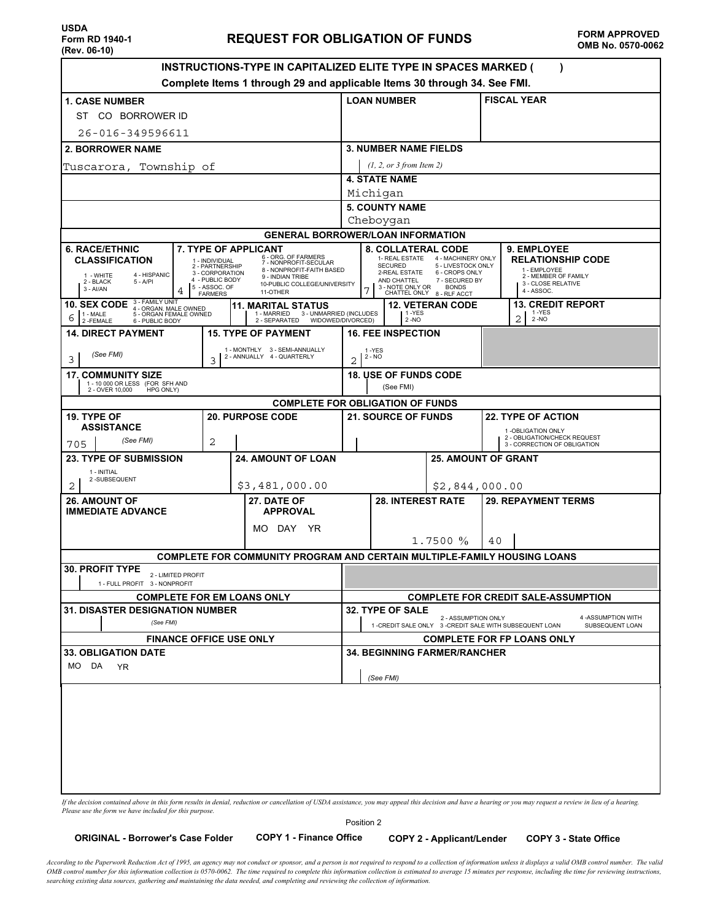| INSTRUCTIONS-TYPE IN CAPITALIZED ELITE TYPE IN SPACES MARKED (<br>Complete Items 1 through 29 and applicable Items 30 through 34. See FMI.                                                                                                                                                                                                                                                                      |                                                                                                                                                                                                                                                                                                                                                                              |  |  |  |  |  |
|-----------------------------------------------------------------------------------------------------------------------------------------------------------------------------------------------------------------------------------------------------------------------------------------------------------------------------------------------------------------------------------------------------------------|------------------------------------------------------------------------------------------------------------------------------------------------------------------------------------------------------------------------------------------------------------------------------------------------------------------------------------------------------------------------------|--|--|--|--|--|
| <b>1. CASE NUMBER</b>                                                                                                                                                                                                                                                                                                                                                                                           | <b>FISCAL YEAR</b><br><b>LOAN NUMBER</b>                                                                                                                                                                                                                                                                                                                                     |  |  |  |  |  |
| ST CO BORROWER ID                                                                                                                                                                                                                                                                                                                                                                                               |                                                                                                                                                                                                                                                                                                                                                                              |  |  |  |  |  |
| 26-016-349596611                                                                                                                                                                                                                                                                                                                                                                                                |                                                                                                                                                                                                                                                                                                                                                                              |  |  |  |  |  |
| <b>2. BORROWER NAME</b>                                                                                                                                                                                                                                                                                                                                                                                         | <b>3. NUMBER NAME FIELDS</b>                                                                                                                                                                                                                                                                                                                                                 |  |  |  |  |  |
| Tuscarora, Township of                                                                                                                                                                                                                                                                                                                                                                                          | (1, 2, or 3 from Item 2)                                                                                                                                                                                                                                                                                                                                                     |  |  |  |  |  |
|                                                                                                                                                                                                                                                                                                                                                                                                                 | <b>4. STATE NAME</b>                                                                                                                                                                                                                                                                                                                                                         |  |  |  |  |  |
|                                                                                                                                                                                                                                                                                                                                                                                                                 | Michigan                                                                                                                                                                                                                                                                                                                                                                     |  |  |  |  |  |
|                                                                                                                                                                                                                                                                                                                                                                                                                 | <b>5. COUNTY NAME</b><br>Cheboygan                                                                                                                                                                                                                                                                                                                                           |  |  |  |  |  |
|                                                                                                                                                                                                                                                                                                                                                                                                                 | <b>GENERAL BORROWER/LOAN INFORMATION</b>                                                                                                                                                                                                                                                                                                                                     |  |  |  |  |  |
| <b>6. RACE/ETHNIC</b><br><b>7. TYPE OF APPLICANT</b><br>6 - ORG. OF FARMERS<br><b>CLASSIFICATION</b><br>1 - INDIVIDUAL<br>7 - NONPROFIT-SECULAR<br>2 - PARTNERSHIP<br>8 - NONPROFIT-FAITH BASED<br>3 - CORPORATION<br>4 - HISPANIC<br>1 - WHITE<br>9 - INDIAN TRIBE<br>4 - PUBLIC BODY<br>2 - BLACK<br>$5 - A/PI$<br>10-PUBLIC COLLEGE/UNIVERSITY<br>5 - ASSOC. OF<br>$3 - Al/AN$<br>11-OTHER<br><b>FARMERS</b> | <b>8. COLLATERAL CODE</b><br><b>9. EMPLOYEE</b><br>1- REAL ESTATE<br>4 - MACHINERY ONLY<br><b>RELATIONSHIP CODE</b><br><b>SECURED</b><br>5 - LIVESTOCK ONLY<br>1 - EMPLOYEE<br>2-REAL ESTATE<br>6 - CROPS ONLY<br>2 - MEMBER OF FAMILY<br>AND CHATTEL<br>7 - SECURED BY<br>3 - CLOSE RELATIVE<br>3 - NOTE ONLY OR<br><b>BONDS</b><br>4 - ASSOC.<br>CHATTEL ONLY 8 - RLF ACCT |  |  |  |  |  |
| 3 - FAMILY UNIT<br><b>10. SEX CODE</b><br><b>11. MARITAL STATUS</b><br>4 - ORGAN. MALE OWNED<br>5 - ORGAN FEMALE OWNED<br>1 - MARRIED 3 - UNMARRIED (INCLUDES<br>1 - MALE<br>6<br>2-FEMALE<br>2 - SEPARATED<br>6 - PUBLIC BODY                                                                                                                                                                                  | <b>12. VETERAN CODE</b><br><b>13. CREDIT REPORT</b><br>1-YES<br>1-YES<br>2<br>$2 - NO$<br>$2 - NO$<br>WIDOWED/DIVORCED)                                                                                                                                                                                                                                                      |  |  |  |  |  |
| <b>14. DIRECT PAYMENT</b><br><b>15. TYPE OF PAYMENT</b>                                                                                                                                                                                                                                                                                                                                                         | <b>16. FEE INSPECTION</b>                                                                                                                                                                                                                                                                                                                                                    |  |  |  |  |  |
| 1 - MONTHLY 3 - SEMI-ANNUALLY<br>(See FMI)<br>2 - ANNUALLY 4 - QUARTERLY<br>3<br>3                                                                                                                                                                                                                                                                                                                              | 1-YES<br>$2 - NO$<br>2                                                                                                                                                                                                                                                                                                                                                       |  |  |  |  |  |
| <b>17. COMMUNITY SIZE</b><br>1 - 10 000 OR LESS (FOR SFH AND                                                                                                                                                                                                                                                                                                                                                    | <b>18. USE OF FUNDS CODE</b>                                                                                                                                                                                                                                                                                                                                                 |  |  |  |  |  |
| 2 - OVER 10,000<br>HPG ONLY)                                                                                                                                                                                                                                                                                                                                                                                    | (See FMI)                                                                                                                                                                                                                                                                                                                                                                    |  |  |  |  |  |
| 19. TYPE OF<br><b>20. PURPOSE CODE</b>                                                                                                                                                                                                                                                                                                                                                                          | <b>COMPLETE FOR OBLIGATION OF FUNDS</b><br><b>22. TYPE OF ACTION</b><br><b>21. SOURCE OF FUNDS</b>                                                                                                                                                                                                                                                                           |  |  |  |  |  |
| <b>ASSISTANCE</b>                                                                                                                                                                                                                                                                                                                                                                                               | 1-OBLIGATION ONLY                                                                                                                                                                                                                                                                                                                                                            |  |  |  |  |  |
| (See FMI)<br>2<br>705                                                                                                                                                                                                                                                                                                                                                                                           | 2 - OBLIGATION/CHECK REQUEST<br>3 - CORRECTION OF OBLIGATION                                                                                                                                                                                                                                                                                                                 |  |  |  |  |  |
| <b>23. TYPE OF SUBMISSION</b><br><b>24. AMOUNT OF LOAN</b>                                                                                                                                                                                                                                                                                                                                                      | <b>25. AMOUNT OF GRANT</b>                                                                                                                                                                                                                                                                                                                                                   |  |  |  |  |  |
| 1 - INITIAL<br>2-SUBSEQUENT<br>\$3,481,000.00<br>2                                                                                                                                                                                                                                                                                                                                                              | \$2,844,000.00                                                                                                                                                                                                                                                                                                                                                               |  |  |  |  |  |
| <b>26. AMOUNT OF</b><br>27. DATE OF<br><b>IMMEDIATE ADVANCE</b><br><b>APPROVAL</b>                                                                                                                                                                                                                                                                                                                              | <b>28. INTEREST RATE</b><br><b>29. REPAYMENT TERMS</b>                                                                                                                                                                                                                                                                                                                       |  |  |  |  |  |
| MO DAY<br>YR.                                                                                                                                                                                                                                                                                                                                                                                                   | 1.7500%<br>40                                                                                                                                                                                                                                                                                                                                                                |  |  |  |  |  |
|                                                                                                                                                                                                                                                                                                                                                                                                                 | <b>COMPLETE FOR COMMUNITY PROGRAM AND CERTAIN MULTIPLE-FAMILY HOUSING LOANS</b>                                                                                                                                                                                                                                                                                              |  |  |  |  |  |
| <b>30. PROFIT TYPE</b><br>2 - LIMITED PROFIT<br>1 - FULL PROFIT 3 - NONPROFIT                                                                                                                                                                                                                                                                                                                                   |                                                                                                                                                                                                                                                                                                                                                                              |  |  |  |  |  |
| <b>COMPLETE FOR EM LOANS ONLY</b>                                                                                                                                                                                                                                                                                                                                                                               | <b>COMPLETE FOR CREDIT SALE-ASSUMPTION</b>                                                                                                                                                                                                                                                                                                                                   |  |  |  |  |  |
| <b>31. DISASTER DESIGNATION NUMBER</b>                                                                                                                                                                                                                                                                                                                                                                          | 32. TYPE OF SALE<br>4-ASSUMPTION WITH                                                                                                                                                                                                                                                                                                                                        |  |  |  |  |  |
| (See FMI)                                                                                                                                                                                                                                                                                                                                                                                                       | 2 - ASSUMPTION ONLY<br>1 -CREDIT SALE ONLY 3 -CREDIT SALE WITH SUBSEQUENT LOAN<br>SUBSEQUENT LOAN                                                                                                                                                                                                                                                                            |  |  |  |  |  |
| <b>FINANCE OFFICE USE ONLY</b><br><b>33. OBLIGATION DATE</b>                                                                                                                                                                                                                                                                                                                                                    | <b>COMPLETE FOR FP LOANS ONLY</b><br><b>34. BEGINNING FARMER/RANCHER</b>                                                                                                                                                                                                                                                                                                     |  |  |  |  |  |
| DA<br>MO.<br>YR.                                                                                                                                                                                                                                                                                                                                                                                                | (See FMI)                                                                                                                                                                                                                                                                                                                                                                    |  |  |  |  |  |
|                                                                                                                                                                                                                                                                                                                                                                                                                 | If the decision contained above in this form results in denial, reduction or cancellation of USDA assistance, you may appeal this decision and have a hearing or you may request a review in lieu of a hearing.                                                                                                                                                              |  |  |  |  |  |

*Please use the form we have included for this purpose.*

Position 2

**ORIGINAL - Borrower's Case Folder COPY 1 - Finance Office COPY 2 - Applicant/Lender COPY 3 - State Office**

*According to the Paperwork Reduction Act of 1995, an agency may not conduct or sponsor, and a person is not required to respond to a collection of information unless it displays a valid OMB control number. The valid* OMB control number for this information collection is 0570-0062. The time required to complete this information collection is estimated to average 15 minutes per response, including the time for reviewing instructions, *searching existing data sources, gathering and maintaining the data needed, and completing and reviewing the collection of information.*